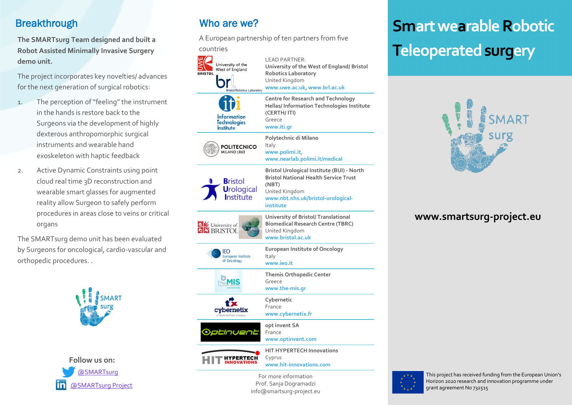## **Breakthrough**

**The SMARTsurg Team designed and built a Robot Assisted Minimally Invasive Surgery demo unit.**

The project incorporates key novelties/ advances for the next generation of surgical robotics:

- 1. The perception of "feeling" the instrument in the hands is restore back to the Surgeons via the development of highly dexterous anthropomorphic surgical instruments and wearable hand exoskeleton with haptic feedback
- 2. Active Dynamic Constraints using point cloud real time 3D reconstruction and wearable smart glasses for augmented reality allow Surgeon to safely perform procedures in areas close to veins or critical organs

The SMARTsurg demo unit has been evaluated by Surgeons for oncological, cardio-vascular and orthopedic procedures. .





# Who are we?

A European partnership of ten partners from five

countries LEAD PARTNER: University of the **University of the West of England/ Bristol**  West of England **BRISTOL Robotics Laboratory** br United Kingdom **www.uwe.ac.uk, www.brl.ac.uk**  ■<br>Bristol Robotics Laboraton **Centre for Research and Technology Hellas/ Information Technologies Institute (CERTH/ ITI) Information**<br>Technologies Greece **www.iti.gr Institute Polytechnic di Milano** Italy **POLITECNICO** MILANO 1863 **www.polimi.it, www.nearlab.polimi.it/medical Bristol Urological Institute (BUI) - North Bristol National Health Service Trust Bristol (NBT) Urological** United Kingdom Institute **www.nbt.nhs.uk/bristol-urologicalinstitute University of Bristol/ Translational** University of **Biomedical Research Centre (TBRC)** United Kingdom **www.bristol.ac.uk European Institute of Oncology IEO** uropean Institute Italy of Oncology **www.ieo.it Themis Orthopedic Center** The **MIS** Greece **www.the-mis.gr**   $\mathbf{f}$ **Cybernetic** France cybernetix **www.cybernetix.fr opt invent SA** Optinuent France **www.optinvent.com HIT HYPERTECH Innovations HYPERTECH** Cyprus **www.hit-innovations.com** 

> For more information Prof. Sanja Dogramadzi info@smartsurg-project.eu

# **Smart wearable Robotic Teleoperated surgery**



## **www.smartsurg-project.eu**



This project has received funding from the European Union's Horizon 2020 research and innovation programme under grant agreement No 732515